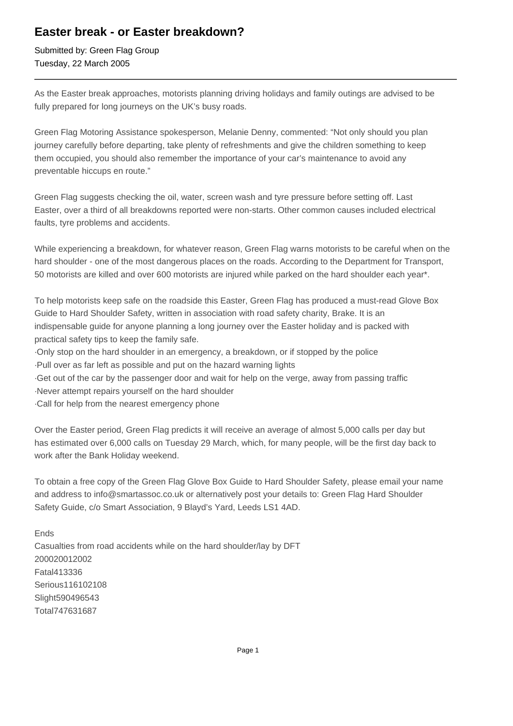## **Easter break - or Easter breakdown?**

Submitted by: Green Flag Group Tuesday, 22 March 2005

As the Easter break approaches, motorists planning driving holidays and family outings are advised to be fully prepared for long journeys on the UK's busy roads.

Green Flag Motoring Assistance spokesperson, Melanie Denny, commented: "Not only should you plan journey carefully before departing, take plenty of refreshments and give the children something to keep them occupied, you should also remember the importance of your car's maintenance to avoid any preventable hiccups en route."

Green Flag suggests checking the oil, water, screen wash and tyre pressure before setting off. Last Easter, over a third of all breakdowns reported were non-starts. Other common causes included electrical faults, tyre problems and accidents.

While experiencing a breakdown, for whatever reason, Green Flag warns motorists to be careful when on the hard shoulder - one of the most dangerous places on the roads. According to the Department for Transport, 50 motorists are killed and over 600 motorists are injured while parked on the hard shoulder each year\*.

To help motorists keep safe on the roadside this Easter, Green Flag has produced a must-read Glove Box Guide to Hard Shoulder Safety, written in association with road safety charity, Brake. It is an indispensable guide for anyone planning a long journey over the Easter holiday and is packed with practical safety tips to keep the family safe.

- · Only stop on the hard shoulder in an emergency, a breakdown, or if stopped by the police
- · Pull over as far left as possible and put on the hazard warning lights
- · Get out of the car by the passenger door and wait for help on the verge, away from passing traffic
- · Never attempt repairs yourself on the hard shoulder
- · Call for help from the nearest emergency phone

Over the Easter period, Green Flag predicts it will receive an average of almost 5,000 calls per day but has estimated over 6,000 calls on Tuesday 29 March, which, for many people, will be the first day back to work after the Bank Holiday weekend.

To obtain a free copy of the Green Flag Glove Box Guide to Hard Shoulder Safety, please email your name and address to info@smartassoc.co.uk or alternatively post your details to: Green Flag Hard Shoulder Safety Guide, c/o Smart Association, 9 Blayd's Yard, Leeds LS1 4AD.

Ends Casualties from road accidents while on the hard shoulder/lay by DFT 2000 2001 2002 Fatal 41 33 36 Serious 116 102 108 Slight 590 496 543 Total 747 631 687